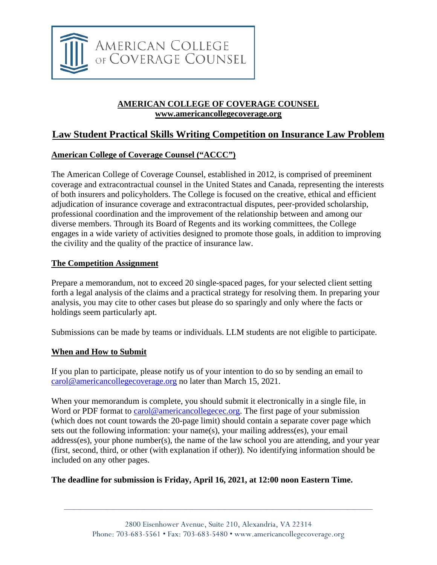

#### **AMERICAN COLLEGE OF COVERAGE COUNSEL www.americancollegecoverage.org**

## **Law Student Practical Skills Writing Competition on Insurance Law Problem**

#### **American College of Coverage Counsel ("ACCC")**

The American College of Coverage Counsel, established in 2012, is comprised of preeminent coverage and extracontractual counsel in the United States and Canada, representing the interests of both insurers and policyholders. The College is focused on the creative, ethical and efficient adjudication of insurance coverage and extracontractual disputes, peer-provided scholarship, professional coordination and the improvement of the relationship between and among our diverse members. Through its Board of Regents and its working committees, the College engages in a wide variety of activities designed to promote those goals, in addition to improving the civility and the quality of the practice of insurance law.

#### **The Competition Assignment**

Prepare a memorandum, not to exceed 20 single-spaced pages, for your selected client setting forth a legal analysis of the claims and a practical strategy for resolving them. In preparing your analysis, you may cite to other cases but please do so sparingly and only where the facts or holdings seem particularly apt.

Submissions can be made by teams or individuals. LLM students are not eligible to participate.

#### **When and How to Submit**

If you plan to participate, please notify us of your intention to do so by sending an email to [carol@americancollegecoverage.org](mailto:carol@americancollegecoverage.org) no later than March 15, 2021.

When your memorandum is complete, you should submit it electronically in a single file, in Word or PDF format to carol@americancollegecec.org. The first page of your submission (which does not count towards the 20-page limit) should contain a separate cover page which sets out the following information: your name(s), your mailing address(es), your email address(es), your phone number(s), the name of the law school you are attending, and your year (first, second, third, or other (with explanation if other)). No identifying information should be included on any other pages.

#### **The deadline for submission is Friday, April 16, 2021, at 12:00 noon Eastern Time.**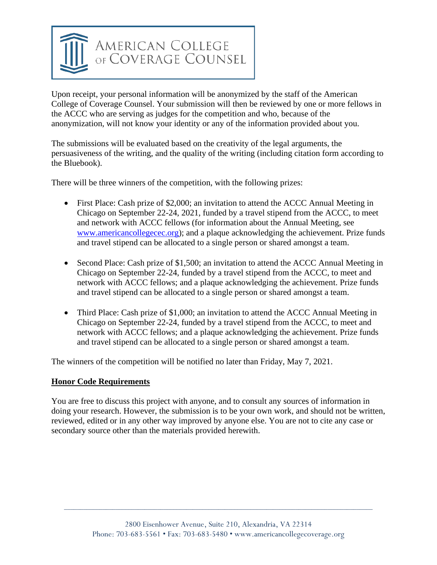

Upon receipt, your personal information will be anonymized by the staff of the American College of Coverage Counsel. Your submission will then be reviewed by one or more fellows in the ACCC who are serving as judges for the competition and who, because of the anonymization, will not know your identity or any of the information provided about you.

The submissions will be evaluated based on the creativity of the legal arguments, the persuasiveness of the writing, and the quality of the writing (including citation form according to the Bluebook).

There will be three winners of the competition, with the following prizes:

- First Place: Cash prize of \$2,000; an invitation to attend the ACCC Annual Meeting in Chicago on September 22-24, 2021, funded by a travel stipend from the ACCC, to meet and network with ACCC fellows (for information about the Annual Meeting, see www.americancollegecec.org); and a plaque acknowledging the achievement. Prize funds and travel stipend can be allocated to a single person or shared amongst a team.
- Second Place: Cash prize of \$1,500; an invitation to attend the ACCC Annual Meeting in Chicago on September 22-24, funded by a travel stipend from the ACCC, to meet and network with ACCC fellows; and a plaque acknowledging the achievement. Prize funds and travel stipend can be allocated to a single person or shared amongst a team.
- Third Place: Cash prize of \$1,000; an invitation to attend the ACCC Annual Meeting in Chicago on September 22-24, funded by a travel stipend from the ACCC, to meet and network with ACCC fellows; and a plaque acknowledging the achievement. Prize funds and travel stipend can be allocated to a single person or shared amongst a team.

The winners of the competition will be notified no later than Friday, May 7, 2021.

#### **Honor Code Requirements**

You are free to discuss this project with anyone, and to consult any sources of information in doing your research. However, the submission is to be your own work, and should not be written, reviewed, edited or in any other way improved by anyone else. You are not to cite any case or secondary source other than the materials provided herewith.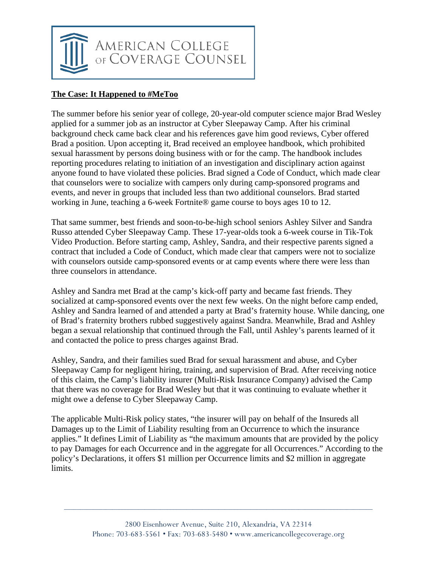

### **The Case: It Happened to #MeToo**

The summer before his senior year of college, 20-year-old computer science major Brad Wesley applied for a summer job as an instructor at Cyber Sleepaway Camp. After his criminal background check came back clear and his references gave him good reviews, Cyber offered Brad a position. Upon accepting it, Brad received an employee handbook, which prohibited sexual harassment by persons doing business with or for the camp. The handbook includes reporting procedures relating to initiation of an investigation and disciplinary action against anyone found to have violated these policies. Brad signed a Code of Conduct, which made clear that counselors were to socialize with campers only during camp-sponsored programs and events, and never in groups that included less than two additional counselors. Brad started working in June, teaching a 6-week Fortnite® game course to boys ages 10 to 12.

That same summer, best friends and soon-to-be-high school seniors Ashley Silver and Sandra Russo attended Cyber Sleepaway Camp. These 17-year-olds took a 6-week course in Tik-Tok Video Production. Before starting camp, Ashley, Sandra, and their respective parents signed a contract that included a Code of Conduct, which made clear that campers were not to socialize with counselors outside camp-sponsored events or at camp events where there were less than three counselors in attendance.

Ashley and Sandra met Brad at the camp's kick-off party and became fast friends. They socialized at camp-sponsored events over the next few weeks. On the night before camp ended, Ashley and Sandra learned of and attended a party at Brad's fraternity house. While dancing, one of Brad's fraternity brothers rubbed suggestively against Sandra. Meanwhile, Brad and Ashley began a sexual relationship that continued through the Fall, until Ashley's parents learned of it and contacted the police to press charges against Brad.

Ashley, Sandra, and their families sued Brad for sexual harassment and abuse, and Cyber Sleepaway Camp for negligent hiring, training, and supervision of Brad. After receiving notice of this claim, the Camp's liability insurer (Multi-Risk Insurance Company) advised the Camp that there was no coverage for Brad Wesley but that it was continuing to evaluate whether it might owe a defense to Cyber Sleepaway Camp.

The applicable Multi-Risk policy states, "the insurer will pay on behalf of the Insureds all Damages up to the Limit of Liability resulting from an Occurrence to which the insurance applies." It defines Limit of Liability as "the maximum amounts that are provided by the policy to pay Damages for each Occurrence and in the aggregate for all Occurrences." According to the policy's Declarations, it offers \$1 million per Occurrence limits and \$2 million in aggregate limits.